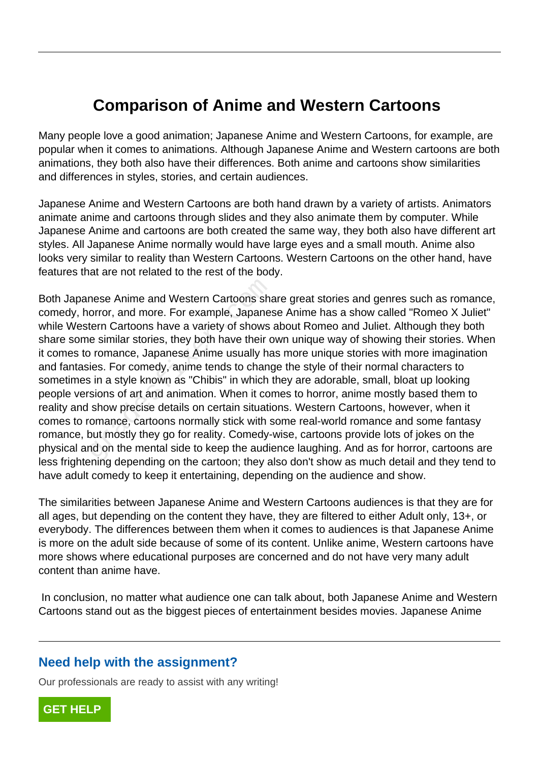## **Comparison of Anime and Western Cartoons**

Many people love a good animation; Japanese Anime and Western Cartoons, for example, are popular when it comes to animations. Although Japanese Anime and Western cartoons are both animations, they both also have their differences. Both anime and cartoons show similarities and differences in styles, stories, and certain audiences.

Japanese Anime and Western Cartoons are both hand drawn by a variety of artists. Animators animate anime and cartoons through slides and they also animate them by computer. While Japanese Anime and cartoons are both created the same way, they both also have different art styles. All Japanese Anime normally would have large eyes and a small mouth. Anime also looks very similar to reality than Western Cartoons. Western Cartoons on the other hand, have features that are not related to the rest of the body.

Both Japanese Anime and Western Cartoons share great stories and genres such as romance, comedy, horror, and more. For example, Japanese Anime has a show called "Romeo X Juliet" while Western Cartoons have a variety of shows about Romeo and Juliet. Although they both share some similar stories, they both have their own unique way of showing their stories. When it comes to romance, Japanese Anime usually has more unique stories with more imagination and fantasies. For comedy, anime tends to change the style of their normal characters to sometimes in a style known as "Chibis" in which they are adorable, small, bloat up looking people versions of art and animation. When it comes to horror, anime mostly based them to reality and show precise details on certain situations. Western Cartoons, however, when it comes to romance, cartoons normally stick with some real-world romance and some fantasy romance, but mostly they go for reality. Comedy-wise, cartoons provide lots of jokes on the physical and on the mental side to keep the audience laughing. And as for horror, cartoons are less frightening depending on the cartoon; they also don't show as much detail and they tend to have adult comedy to keep it entertaining, depending on the audience and show. nese Anime and Western Cartoons shand orror, and more. For example, Japanestern Cartoons have a variety of shows e similar stories, they both have their commance, Japanese Anime usually have their commance, Japanese Anime

The similarities between Japanese Anime and Western Cartoons audiences is that they are for all ages, but depending on the content they have, they are filtered to either Adult only, 13+, or everybody. The differences between them when it comes to audiences is that Japanese Anime is more on the adult side because of some of its content. Unlike anime, Western cartoons have more shows where educational purposes are concerned and do not have very many adult content than anime have.

 In conclusion, no matter what audience one can talk about, both Japanese Anime and Western Cartoons stand out as the biggest pieces of entertainment besides movies. Japanese Anime

## **Need help with the assignment?**

Our professionals are ready to assist with any writing!